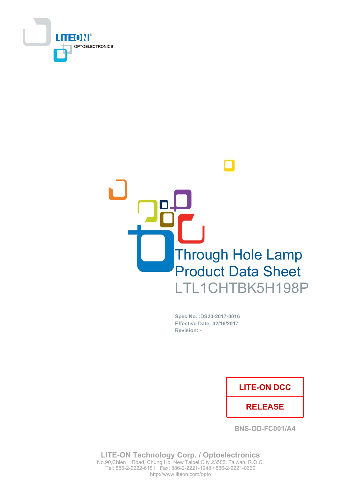



Spec No. : DS20-2017-0016 **Effective Date: 02/16/2017** Revision: -

## **LITE-ON DCC**

## **RELEASE**

**BNS-OD-FC001/A4** 

**LITE-ON Technology Corp. / Optoelectronics** No.90, Chien 1 Road, Chung Ho, New Taipei City 23585, Taiwan, R.O.C. Tel: 886-2-2222-6181 Fax: 886-2-2221-1948 / 886-2-2221-0660 http://www.liteon.com/opto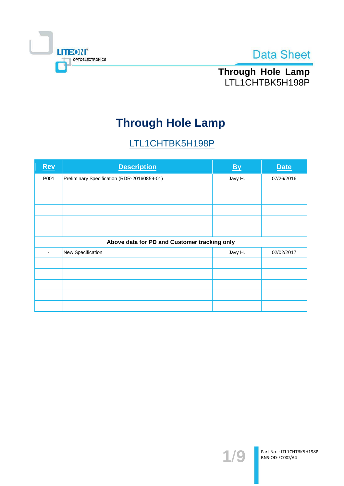



Through Hole Lamp LTL1CHTBK5H198P

# **Through Hole Lamp**

# LTL1CHTBK5H198P

| Rev                                          | <b>Description</b>                          | $\underline{By}$ | <b>Date</b> |  |  |  |
|----------------------------------------------|---------------------------------------------|------------------|-------------|--|--|--|
| P001                                         | Preliminary Specification (RDR-20160859-01) | Javy H.          | 07/26/2016  |  |  |  |
|                                              |                                             |                  |             |  |  |  |
|                                              |                                             |                  |             |  |  |  |
|                                              |                                             |                  |             |  |  |  |
|                                              |                                             |                  |             |  |  |  |
|                                              |                                             |                  |             |  |  |  |
| Above data for PD and Customer tracking only |                                             |                  |             |  |  |  |
|                                              | New Specification                           | Javy H.          | 02/02/2017  |  |  |  |
|                                              |                                             |                  |             |  |  |  |
|                                              |                                             |                  |             |  |  |  |
|                                              |                                             |                  |             |  |  |  |
|                                              |                                             |                  |             |  |  |  |
|                                              |                                             |                  |             |  |  |  |

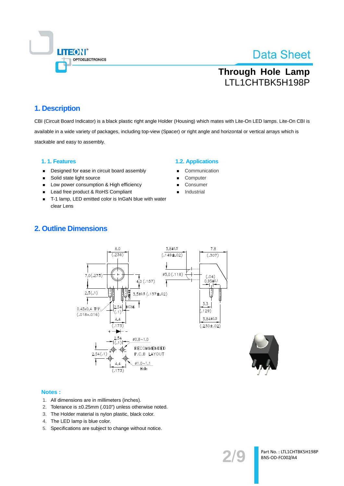

## **Through Hole Lamp** LTL1CHTBK5H198P

### 1. Description

CBI (Circuit Board Indicator) is a black plastic right angle Holder (Housing) which mates with Lite-On LED lamps. Lite-On CBI is available in a wide variety of packages, including top-view (Spacer) or right angle and horizontal or vertical arrays which is stackable and easy to assembly.

### 1.1. Features

- Designed for ease in circuit board assembly  $\blacksquare$
- Solid state light source
- Low power consumption & High efficiency  $\blacksquare$
- Lead free product & RoHS Compliant  $\blacksquare$
- T-1 lamp, LED emitted color is InGaN blue with water clear Lens

### **1.2. Applications**

- Communication
- Computer
- Consumer
- Industrial

## **2. Outline Dimensions**



#### Notes:

- 1. All dimensions are in millimeters (inches).
- 2. Tolerance is ±0.25mm (.010") unless otherwise noted.
- 3. The Holder material is nylon plastic, black color.
- 4. The LED lamp is blue color.
- 5. Specifications are subject to change without notice.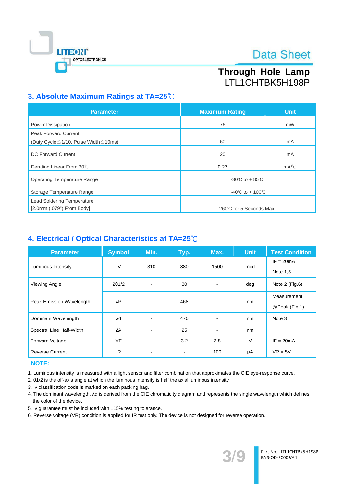

## Through Hole Lamp LTL1CHTBK5H198P

## 3. Absolute Maximum Ratings at TA=25°C

| <b>Parameter</b>                                  | <b>Maximum Rating</b>   | <b>Unit</b>    |  |
|---------------------------------------------------|-------------------------|----------------|--|
| <b>Power Dissipation</b>                          | 76                      | mW             |  |
| <b>Peak Forward Current</b>                       |                         |                |  |
| (Duty Cycle $\leq$ 1/10, Pulse Width $\leq$ 10ms) | 60                      | mA             |  |
| <b>DC Forward Current</b>                         | 20                      | mA             |  |
| Derating Linear From 30°C                         | 0.27                    | $mA^{\circ}$ C |  |
| <b>Operating Temperature Range</b>                | $-30C$ to $+85C$        |                |  |
| Storage Temperature Range                         | -40°C to + 100°C        |                |  |
| <b>Lead Soldering Temperature</b>                 |                         |                |  |
| $[2.0mm(.079")$ From Body]                        | 260℃ for 5 Seconds Max. |                |  |

## 4. Electrical / Optical Characteristics at TA=25°C

| <b>Parameter</b>         | <b>Symbol</b> | Min.                     | Typ.           | Max. | <b>Unit</b> | <b>Test Condition</b> |
|--------------------------|---------------|--------------------------|----------------|------|-------------|-----------------------|
| Luminous Intensity       | IV            | 310                      | 880            | 1500 | mcd         | $IF = 20mA$           |
|                          |               |                          |                |      |             | Note 1,5              |
| Viewing Angle            | $2\theta$ 1/2 | $\overline{\phantom{a}}$ | 30             | ٠    | deg         | Note 2 (Fig.6)        |
| Peak Emission Wavelength | λP            |                          | 468            |      | nm          | Measurement           |
|                          |               |                          |                |      |             | @Peak (Fig.1)         |
| Dominant Wavelength      | λd            |                          | 470            |      | nm          | Note 3                |
| Spectral Line Half-Width | Δλ            |                          | 25             |      | nm          |                       |
| Forward Voltage          | <b>VF</b>     |                          | 3.2            | 3.8  | V           | $IF = 20mA$           |
| <b>Reverse Current</b>   | IR.           |                          | $\blacksquare$ | 100  | μA          | $VR = 5V$             |

### **NOTE:**

- 1. Luminous intensity is measured with a light sensor and filter combination that approximates the CIE eye-response curve.
- 2. 01/2 is the off-axis angle at which the luminous intensity is half the axial luminous intensity.
- 3. Iv classification code is marked on each packing bag.
- 4. The dominant wavelength, Ad is derived from the CIE chromaticity diagram and represents the single wavelength which defines the color of the device.
- 5. Iv quarantee must be included with ±15% testing tolerance.
- 6. Reverse voltage (VR) condition is applied for IR test only. The device is not designed for reverse operation.

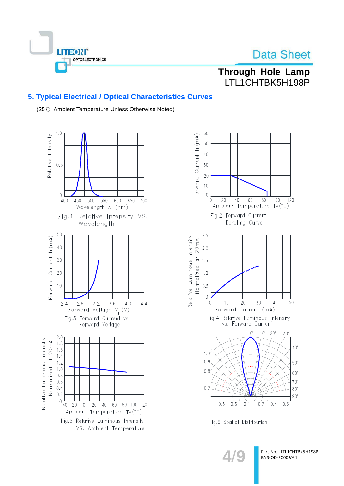

## Through Hole Lamp LTL1CHTBK5H198P

## **5. Typical Electrical / Optical Characteristics Curves**

(25℃ Ambient Temperature Unless Otherwise Noted)





Fig.6 Spatial Distribution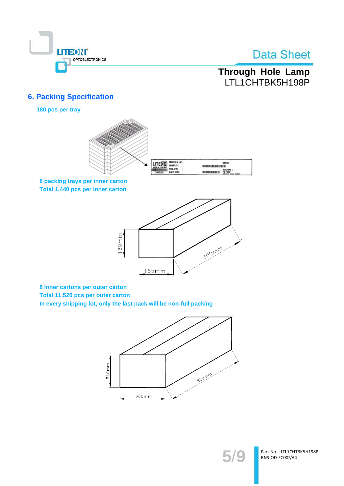

## Through Hole Lamp LTL1CHTBK5H198P

## **6. Packing Specification**

180 pcs per tray



8 packing trays per inner carton Total 1,440 pcs per inner carton



8 Inner cartons per outer carton Total 11,520 pcs per outer carton In every shipping lot, only the last pack will be non-full packing





Part No.: LTL1CHTBK5H198P BNS-OD-FC002/A4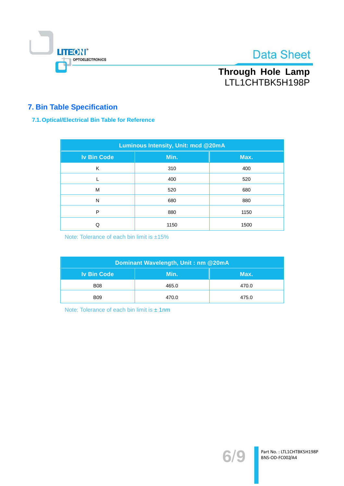

## Through Hole Lamp LTL1CHTBK5H198P

## **7. Bin Table Specification**

### 7.1. Optical/Electrical Bin Table for Reference

| <b>Luminous Intensity, Unit: mcd @20mA</b> |      |      |  |  |  |
|--------------------------------------------|------|------|--|--|--|
| <b>Iv Bin Code</b>                         | Min. | Max. |  |  |  |
| K                                          | 310  | 400  |  |  |  |
|                                            | 400  | 520  |  |  |  |
| M                                          | 520  | 680  |  |  |  |
| N                                          | 680  | 880  |  |  |  |
| P                                          | 880  | 1150 |  |  |  |
| Q                                          | 1150 | 1500 |  |  |  |

Note: Tolerance of each bin limit is ±15%

| Dominant Wavelength, Unit: nm @20mA |       |       |  |  |
|-------------------------------------|-------|-------|--|--|
| <b>Iv Bin Code</b>                  | Min.  | Max.  |  |  |
| <b>B08</b>                          | 465.0 | 470.0 |  |  |
| <b>B09</b>                          | 470.0 | 475.0 |  |  |

Note: Tolerance of each bin limit is ± 1nm

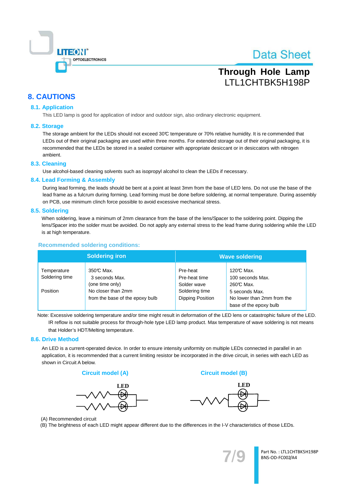

## **Through Hole Lamp** LTL1CHTBK5H198P

## **8. CAUTIONS**

### **8.1. Application**

This LED lamp is good for application of indoor and outdoor sign, also ordinary electronic equipment.

#### 8.2. Storage

The storage ambient for the LEDs should not exceed 30°C temperature or 70% relative humidity. It is recommended that LEDs out of their original packaging are used within three months. For extended storage out of their original packaging, it is recommended that the LEDs be stored in a sealed container with appropriate desiccant or in desiccators with nitrogen ambient.

### 8.3. Cleaning

Use alcohol-based cleaning solvents such as isopropyl alcohol to clean the LEDs if necessary.

#### 8.4. Lead Forming & Assembly

During lead forming, the leads should be bent at a point at least 3mm from the base of LED lens. Do not use the base of the lead frame as a fulcrum during forming. Lead forming must be done before soldering, at normal temperature. During assembly on PCB, use minimum clinch force possible to avoid excessive mechanical stress.

#### 8.5. Soldering

When soldering, leave a minimum of 2mm clearance from the base of the lens/Spacer to the soldering point. Dipping the lens/Spacer into the solder must be avoided. Do not apply any external stress to the lead frame during soldering while the LED is at high temperature.

### **Recommended soldering conditions:**

|                               | <b>Soldering iron</b>                                 | <b>Wave soldering</b>                     |                                                                        |  |
|-------------------------------|-------------------------------------------------------|-------------------------------------------|------------------------------------------------------------------------|--|
| Temperature<br>Soldering time | 350℃ Max.<br>3 seconds Max.<br>(one time only)        | Pre-heat<br>Pre-heat time<br>Solder wave  | 120℃ Max.<br>100 seconds Max.<br>260℃ Max.                             |  |
| Position                      | No closer than 2mm<br>from the base of the epoxy bulb | Soldering time<br><b>Dipping Position</b> | 5 seconds Max.<br>No lower than 2mm from the<br>base of the epoxy bulb |  |

Note: Excessive soldering temperature and/or time might result in deformation of the LED lens or catastrophic failure of the LED. IR reflow is not suitable process for through-hole type LED lamp product. Max temperature of wave soldering is not means that Holder's HDT/Melting temperature.

#### 8.6. Drive Method

An LED is a current-operated device. In order to ensure intensity uniformity on multiple LEDs connected in parallel in an application, it is recommended that a current limiting resistor be incorporated in the drive circuit, in series with each LED as shown in Circuit A below.

#### **Circuit model (A)**



**Circuit model (B)** 



(A) Recommended circuit

(B) The brightness of each LED might appear different due to the differences in the I-V characteristics of those LEDs.



Part No.: LTL1CHTBK5H198P BNS-OD-FC002/A4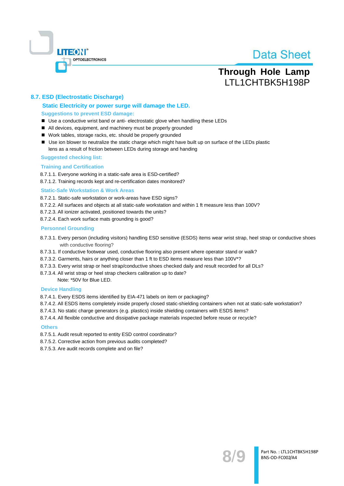

## **Through Hole Lamp** LTL1CHTBK5H198P

### 8.7. ESD (Electrostatic Discharge)

### Static Electricity or power surge will damage the LED. **Suggestions to prevent ESD damage:**

- Use a conductive wrist band or anti- electrostatic glove when handling these LEDs
- All devices, equipment, and machinery must be properly grounded
- Work tables, storage racks, etc. should be properly grounded
- Use ion blower to neutralize the static charge which might have built up on surface of the LEDs plastic lens as a result of friction between LEDs during storage and handing

#### **Suggested checking list:**

#### **Training and Certification**

8.7.1.1. Everyone working in a static-safe area is ESD-certified?

8.7.1.2. Training records kept and re-certification dates monitored?

#### **Static-Safe Workstation & Work Areas**

8.7.2.1. Static-safe workstation or work-areas have ESD signs?

- 8.7.2.2. All surfaces and objects at all static-safe workstation and within 1 ft measure less than 100V?
- 8.7.2.3. All ionizer activated, positioned towards the units?
- 8.7.2.4. Each work surface mats grounding is good?

#### **Personnel Grounding**

- 8.7.3.1. Every person (including visitors) handling ESD sensitive (ESDS) items wear wrist strap, heel strap or conductive shoes with conductive flooring?
- 8.7.3.1. If conductive footwear used, conductive flooring also present where operator stand or walk?
- 8.7.3.2. Garments, hairs or anything closer than 1 ft to ESD items measure less than 100V\*?
- 8.7.3.3. Every wrist strap or heel strap/conductive shoes checked daily and result recorded for all DLs?
- 8.7.3.4. All wrist strap or heel strap checkers calibration up to date?

Note: \*50V for Blue LED.

#### **Device Handling**

8.7.4.1. Every ESDS items identified by EIA-471 labels on item or packaging?

- 8.7.4.2. All ESDS items completely inside properly closed static-shielding containers when not at static-safe workstation?
- 8.7.4.3. No static charge generators (e.g. plastics) inside shielding containers with ESDS items?
- 8.7.4.4. All flexible conductive and dissipative package materials inspected before reuse or recycle?

#### **Others**

- 8.7.5.1. Audit result reported to entity ESD control coordinator?
- 8.7.5.2. Corrective action from previous audits completed?
- 8.7.5.3. Are audit records complete and on file?